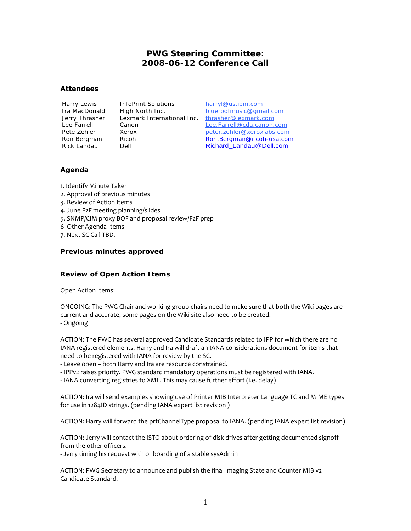# **PWG Steering Committee: 2008-06-12 Conference Call**

### **Attendees**

Harry Lewis InfoPrint Solutions harryl@us.ibm.com Jerry Thrasher Lexmark International Inc. thrasher@lexmark.com

Ira MacDonald High North Inc. blueroofmusic@gmail.com Lee Farrell Canon Lee.Farrell@cda.canon.com Pete Zehler Xerox **Xerox** peter.zehler@xeroxlabs.com Ron Bergman Ricoh Ron.Bergman@ricoh-usa.com Rick Landau Dell Dell Richard Landau@Dell.com

## **Agenda**

1. Identify Minute Taker

- 2. Approval of previous minutes
- 3. Review of Action Items
- 4. June F2F meeting planning/slides
- 5. SNMP/CIM proxy BOF and proposal review/F2F prep
- 6 Other Agenda Items
- 7. Next SC Call TBD.

## **Previous minutes approved**

# **Review of Open Action Items**

Open Action Items:

ONGOING: The PWG Chair and working group chairs need to make sure that both the Wiki pages are current and accurate, some pages on the Wiki site also need to be created. - Ongoing

ACTION: The PWG has several approved Candidate Standards related to IPP for which there are no IANA registered elements. Harry and Ira will draft an IANA considerations document for items that need to be registered with IANA for review by the SC.

- Leave open – both Harry and Ira are resource constrained.

- IPPv2 raises priority. PWG standard mandatory operations must be registered with IANA.
- IANA converting registries to XML. This may cause further effort (i.e. delay)

ACTION: Ira will send examples showing use of Printer MIB Interpreter Language TC and MIME types for use in 1284ID strings. (pending IANA expert list revision )

ACTION: Harry will forward the prtChannelType proposal to IANA. (pending IANA expert list revision)

ACTION: Jerry will contact the ISTO about ordering of disk drives after getting documented signoff from the other officers.

- Jerry timing his request with onboarding of a stable sysAdmin

ACTION: PWG Secretary to announce and publish the final Imaging State and Counter MIB v2 Candidate Standard.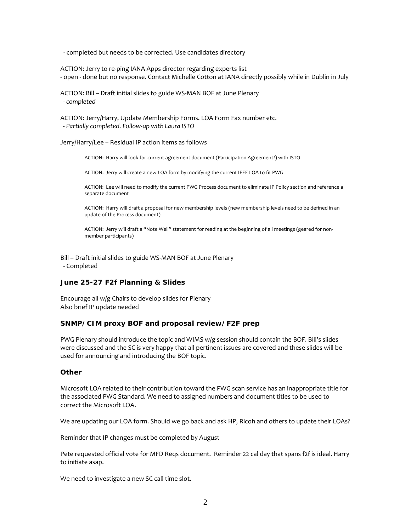- completed but needs to be corrected. Use candidates directory

ACTION: Jerry to re-ping IANA Apps director regarding experts list - open - done but no response. Contact Michelle Cotton at IANA directly possibly while in Dublin in July

ACTION: Bill – Draft initial slides to guide WS-MAN BOF at June Plenary  *- completed* 

ACTION: Jerry/Harry, Update Membership Forms. LOA Form Fax number etc.  *- Partially completed. Follow-up with Laura ISTO* 

Jerry/Harry/Lee – Residual IP action items as follows

ACTION: Harry will look for current agreement document (Participation Agreement?) with ISTO

ACTION: Jerry will create a new LOA form by modifying the current IEEE LOA to fit PWG

ACTION: Lee will need to modify the current PWG Process document to eliminate IP Policy section and reference a separate document

ACTION: Harry will draft a proposal for new membership levels (new membership levels need to be defined in an update of the Process document)

ACTION: Jerry will draft a "Note Well" statement for reading at the beginning of all meetings (geared for nonmember participants)

Bill – Draft initial slides to guide WS-MAN BOF at June Plenary - Completed

### **June 25-27 F2f Planning & Slides**

Encourage all w/g Chairs to develop slides for Plenary Also brief IP update needed

#### **SNMP/CIM proxy BOF and proposal review/F2F prep**

PWG Plenary should introduce the topic and WIMS w/g session should contain the BOF. Bill's slides were discussed and the SC is very happy that all pertinent issues are covered and these slides will be used for announcing and introducing the BOF topic.

## **Other**

Microsoft LOA related to their contribution toward the PWG scan service has an inappropriate title for the associated PWG Standard. We need to assigned numbers and document titles to be used to correct the Microsoft LOA.

We are updating our LOA form. Should we go back and ask HP, Ricoh and others to update their LOAs?

Reminder that IP changes must be completed by August

Pete requested official vote for MFD Reqs document. Reminder 22 cal day that spans f2f is ideal. Harry to initiate asap.

We need to investigate a new SC call time slot.